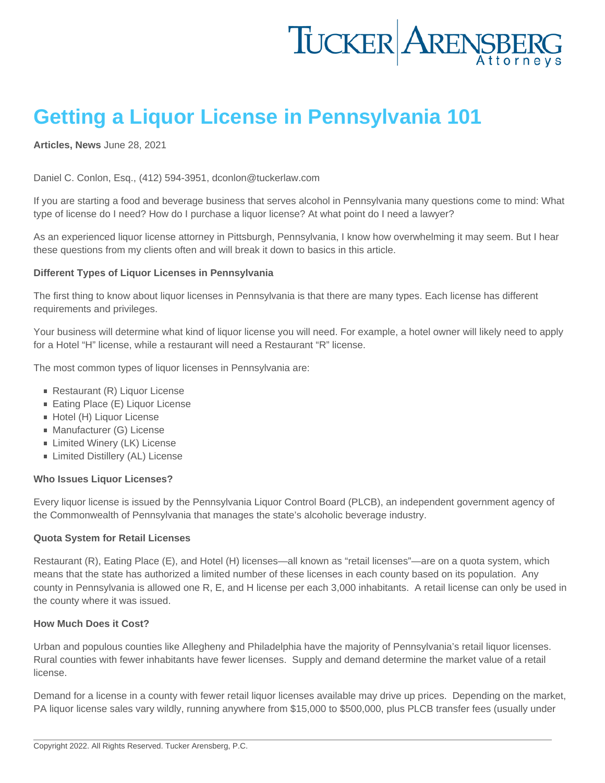# Getting a Liquor License in Pennsylvania 101

[Articles](https://www.tuckerlaw.com/category/articles/) , [News](https://www.tuckerlaw.com/category/news/) June 28, 2021

Daniel C. Conlon, Esq., (412) 594-3951, dconlon@tuckerlaw.com

If you are starting a food and beverage business that serves alcohol in Pennsylvania many questions come to mind: What type of license do I need? How do I purchase a liquor license? At what point do I need a lawyer?

As an experienced liquor license attorney in Pittsburgh, Pennsylvania, I know how overwhelming it may seem. But I hear these questions from my clients often and will break it down to basics in this article.

Different Types of Liquor Licenses in Pennsylvania

The first thing to know about liquor licenses in Pennsylvania is that there are many types. Each license has different requirements and privileges.

Your business will determine what kind of liquor license you will need. For example, a hotel owner will likely need to apply for a Hotel "H" license, while a restaurant will need a Restaurant "R" license.

The most common types of liquor licenses in Pennsylvania are:

- Restaurant (R) Liquor License
- Eating Place (E) Liquor License
- Hotel (H) Liquor License
- **Manufacturer (G) License**
- **Limited Winery (LK) License**
- **Example 2** Limited Distillery (AL) License

Who Issues Liquor Licenses?

Every liquor license is issued by the Pennsylvania Liquor Control Board (PLCB), an independent government agency of the Commonwealth of Pennsylvania that manages the state's alcoholic beverage industry.

Quota System for Retail Licenses

Restaurant (R), Eating Place (E), and Hotel (H) licenses—all known as "retail licenses"—are on a quota system, which means that the state has authorized a limited number of these licenses in each county based on its population. Any county in Pennsylvania is allowed one R, E, and H license per each 3,000 inhabitants. A retail license can only be used in the county where it was issued.

How Much Does it Cost?

Urban and populous counties like Allegheny and Philadelphia have the majority of Pennsylvania's retail liquor licenses. Rural counties with fewer inhabitants have fewer licenses. Supply and demand determine the market value of a retail license.

Demand for a license in a county with fewer retail liquor licenses available may drive up prices. Depending on the market, PA liquor license sales vary wildly, running anywhere from \$15,000 to \$500,000, plus PLCB transfer fees (usually under